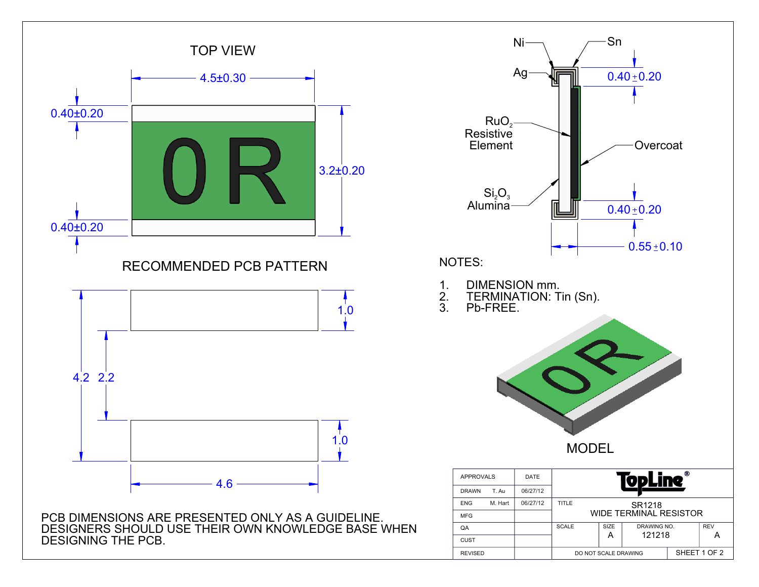